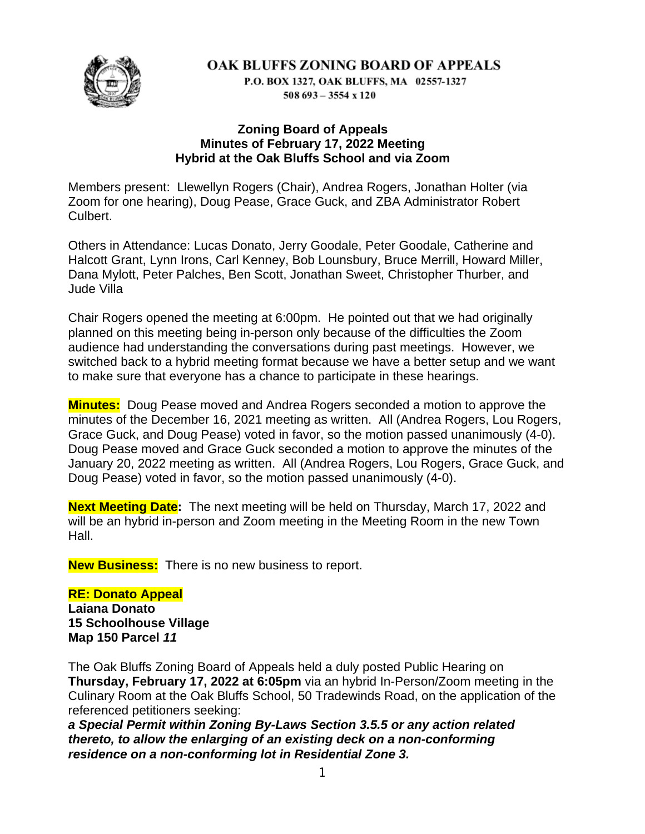

P.O. BOX 1327, OAK BLUFFS, MA 02557-1327  $508693 - 3554 \times 120$ 

#### **Zoning Board of Appeals Minutes of February 17, 2022 Meeting Hybrid at the Oak Bluffs School and via Zoom**

Members present: Llewellyn Rogers (Chair), Andrea Rogers, Jonathan Holter (via Zoom for one hearing), Doug Pease, Grace Guck, and ZBA Administrator Robert Culbert.

Others in Attendance: Lucas Donato, Jerry Goodale, Peter Goodale, Catherine and Halcott Grant, Lynn Irons, Carl Kenney, Bob Lounsbury, Bruce Merrill, Howard Miller, Dana Mylott, Peter Palches, Ben Scott, Jonathan Sweet, Christopher Thurber, and Jude Villa

Chair Rogers opened the meeting at 6:00pm. He pointed out that we had originally planned on this meeting being in-person only because of the difficulties the Zoom audience had understanding the conversations during past meetings. However, we switched back to a hybrid meeting format because we have a better setup and we want to make sure that everyone has a chance to participate in these hearings.

**Minutes:** Doug Pease moved and Andrea Rogers seconded a motion to approve the minutes of the December 16, 2021 meeting as written. All (Andrea Rogers, Lou Rogers, Grace Guck, and Doug Pease) voted in favor, so the motion passed unanimously (4-0). Doug Pease moved and Grace Guck seconded a motion to approve the minutes of the January 20, 2022 meeting as written. All (Andrea Rogers, Lou Rogers, Grace Guck, and Doug Pease) voted in favor, so the motion passed unanimously (4-0).

**Next Meeting Date:** The next meeting will be held on Thursday, March 17, 2022 and will be an hybrid in-person and Zoom meeting in the Meeting Room in the new Town Hall.

**New Business:** There is no new business to report.

# **RE: Donato Appeal**

**Laiana Donato 15 Schoolhouse Village Map 150 Parcel** *11*

The Oak Bluffs Zoning Board of Appeals held a duly posted Public Hearing on **Thursday, February 17, 2022 at 6:05pm** via an hybrid In-Person/Zoom meeting in the Culinary Room at the Oak Bluffs School, 50 Tradewinds Road, on the application of the referenced petitioners seeking:

*a Special Permit within Zoning By-Laws Section 3.5.5 or any action related thereto, to allow the enlarging of an existing deck on a non-conforming residence on a non-conforming lot in Residential Zone 3.*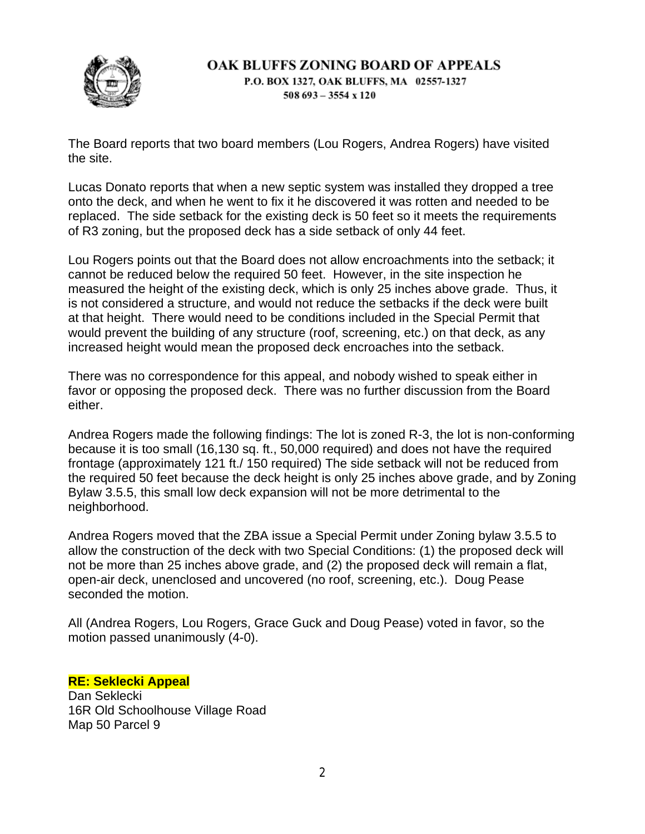

P.O. BOX 1327, OAK BLUFFS, MA 02557-1327  $508693 - 3554 \times 120$ 

The Board reports that two board members (Lou Rogers, Andrea Rogers) have visited the site.

Lucas Donato reports that when a new septic system was installed they dropped a tree onto the deck, and when he went to fix it he discovered it was rotten and needed to be replaced. The side setback for the existing deck is 50 feet so it meets the requirements of R3 zoning, but the proposed deck has a side setback of only 44 feet.

Lou Rogers points out that the Board does not allow encroachments into the setback; it cannot be reduced below the required 50 feet. However, in the site inspection he measured the height of the existing deck, which is only 25 inches above grade. Thus, it is not considered a structure, and would not reduce the setbacks if the deck were built at that height. There would need to be conditions included in the Special Permit that would prevent the building of any structure (roof, screening, etc.) on that deck, as any increased height would mean the proposed deck encroaches into the setback.

There was no correspondence for this appeal, and nobody wished to speak either in favor or opposing the proposed deck. There was no further discussion from the Board either.

Andrea Rogers made the following findings: The lot is zoned R-3, the lot is non-conforming because it is too small (16,130 sq. ft., 50,000 required) and does not have the required frontage (approximately 121 ft./ 150 required) The side setback will not be reduced from the required 50 feet because the deck height is only 25 inches above grade, and by Zoning Bylaw 3.5.5, this small low deck expansion will not be more detrimental to the neighborhood.

Andrea Rogers moved that the ZBA issue a Special Permit under Zoning bylaw 3.5.5 to allow the construction of the deck with two Special Conditions: (1) the proposed deck will not be more than 25 inches above grade, and (2) the proposed deck will remain a flat, open-air deck, unenclosed and uncovered (no roof, screening, etc.). Doug Pease seconded the motion.

All (Andrea Rogers, Lou Rogers, Grace Guck and Doug Pease) voted in favor, so the motion passed unanimously (4-0).

#### **RE: Seklecki Appeal**

Dan Seklecki 16R Old Schoolhouse Village Road Map 50 Parcel 9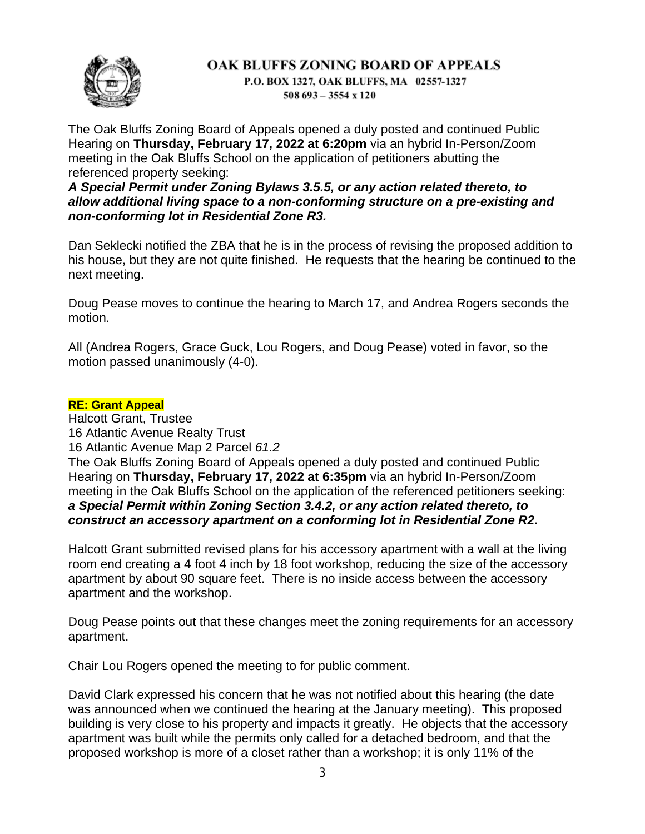

P.O. BOX 1327, OAK BLUFFS, MA 02557-1327  $508693 - 3554 \times 120$ 

The Oak Bluffs Zoning Board of Appeals opened a duly posted and continued Public Hearing on **Thursday, February 17, 2022 at 6:20pm** via an hybrid In-Person/Zoom meeting in the Oak Bluffs School on the application of petitioners abutting the referenced property seeking:

*A Special Permit under Zoning Bylaws 3.5.5, or any action related thereto, to allow additional living space to a non-conforming structure on a pre-existing and non-conforming lot in Residential Zone R3.*

Dan Seklecki notified the ZBA that he is in the process of revising the proposed addition to his house, but they are not quite finished. He requests that the hearing be continued to the next meeting.

Doug Pease moves to continue the hearing to March 17, and Andrea Rogers seconds the motion.

All (Andrea Rogers, Grace Guck, Lou Rogers, and Doug Pease) voted in favor, so the motion passed unanimously (4-0).

#### **RE: Grant Appeal**

Halcott Grant, Trustee 16 Atlantic Avenue Realty Trust 16 Atlantic Avenue Map 2 Parcel *61.2* The Oak Bluffs Zoning Board of Appeals opened a duly posted and continued Public Hearing on **Thursday, February 17, 2022 at 6:35pm** via an hybrid In-Person/Zoom meeting in the Oak Bluffs School on the application of the referenced petitioners seeking: *a Special Permit within Zoning Section 3.4.2, or any action related thereto, to construct an accessory apartment on a conforming lot in Residential Zone R2.*

Halcott Grant submitted revised plans for his accessory apartment with a wall at the living room end creating a 4 foot 4 inch by 18 foot workshop, reducing the size of the accessory apartment by about 90 square feet. There is no inside access between the accessory apartment and the workshop.

Doug Pease points out that these changes meet the zoning requirements for an accessory apartment.

Chair Lou Rogers opened the meeting to for public comment.

David Clark expressed his concern that he was not notified about this hearing (the date was announced when we continued the hearing at the January meeting). This proposed building is very close to his property and impacts it greatly. He objects that the accessory apartment was built while the permits only called for a detached bedroom, and that the proposed workshop is more of a closet rather than a workshop; it is only 11% of the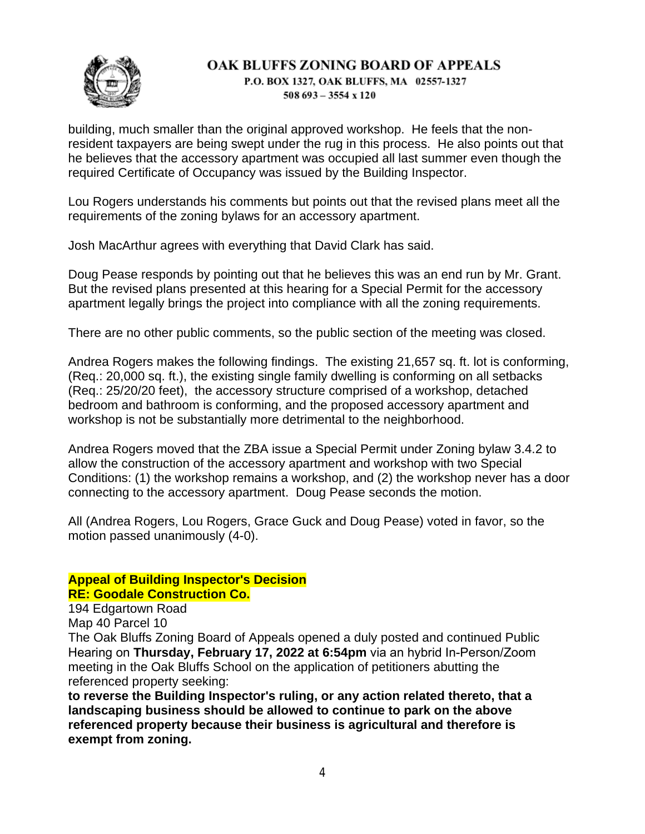

P.O. BOX 1327, OAK BLUFFS, MA 02557-1327  $508693 - 3554 \times 120$ 

building, much smaller than the original approved workshop. He feels that the nonresident taxpayers are being swept under the rug in this process. He also points out that he believes that the accessory apartment was occupied all last summer even though the required Certificate of Occupancy was issued by the Building Inspector.

Lou Rogers understands his comments but points out that the revised plans meet all the requirements of the zoning bylaws for an accessory apartment.

Josh MacArthur agrees with everything that David Clark has said.

Doug Pease responds by pointing out that he believes this was an end run by Mr. Grant. But the revised plans presented at this hearing for a Special Permit for the accessory apartment legally brings the project into compliance with all the zoning requirements.

There are no other public comments, so the public section of the meeting was closed.

Andrea Rogers makes the following findings. The existing 21,657 sq. ft. lot is conforming, (Req.: 20,000 sq. ft.), the existing single family dwelling is conforming on all setbacks (Req.: 25/20/20 feet), the accessory structure comprised of a workshop, detached bedroom and bathroom is conforming, and the proposed accessory apartment and workshop is not be substantially more detrimental to the neighborhood.

Andrea Rogers moved that the ZBA issue a Special Permit under Zoning bylaw 3.4.2 to allow the construction of the accessory apartment and workshop with two Special Conditions: (1) the workshop remains a workshop, and (2) the workshop never has a door connecting to the accessory apartment. Doug Pease seconds the motion.

All (Andrea Rogers, Lou Rogers, Grace Guck and Doug Pease) voted in favor, so the motion passed unanimously (4-0).

# **Appeal of Building Inspector's Decision RE: Goodale Construction Co.**

194 Edgartown Road Map 40 Parcel 10

The Oak Bluffs Zoning Board of Appeals opened a duly posted and continued Public Hearing on **Thursday, February 17, 2022 at 6:54pm** via an hybrid In-Person/Zoom meeting in the Oak Bluffs School on the application of petitioners abutting the referenced property seeking:

**to reverse the Building Inspector's ruling, or any action related thereto, that a landscaping business should be allowed to continue to park on the above referenced property because their business is agricultural and therefore is exempt from zoning.**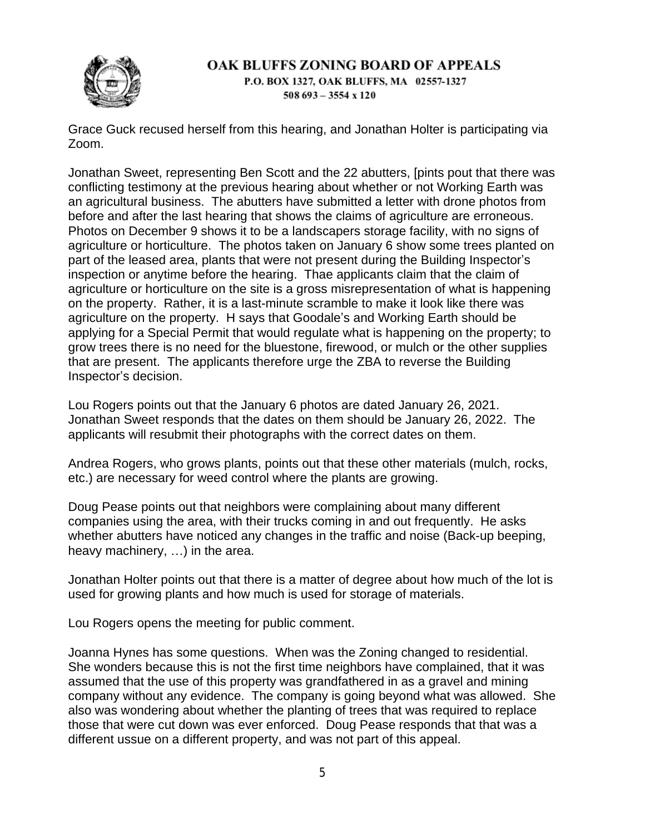

P.O. BOX 1327, OAK BLUFFS, MA 02557-1327  $508693 - 3554 \times 120$ 

Grace Guck recused herself from this hearing, and Jonathan Holter is participating via Zoom.

Jonathan Sweet, representing Ben Scott and the 22 abutters, [pints pout that there was conflicting testimony at the previous hearing about whether or not Working Earth was an agricultural business. The abutters have submitted a letter with drone photos from before and after the last hearing that shows the claims of agriculture are erroneous. Photos on December 9 shows it to be a landscapers storage facility, with no signs of agriculture or horticulture. The photos taken on January 6 show some trees planted on part of the leased area, plants that were not present during the Building Inspector's inspection or anytime before the hearing. Thae applicants claim that the claim of agriculture or horticulture on the site is a gross misrepresentation of what is happening on the property. Rather, it is a last-minute scramble to make it look like there was agriculture on the property. H says that Goodale's and Working Earth should be applying for a Special Permit that would regulate what is happening on the property; to grow trees there is no need for the bluestone, firewood, or mulch or the other supplies that are present. The applicants therefore urge the ZBA to reverse the Building Inspector's decision.

Lou Rogers points out that the January 6 photos are dated January 26, 2021. Jonathan Sweet responds that the dates on them should be January 26, 2022. The applicants will resubmit their photographs with the correct dates on them.

Andrea Rogers, who grows plants, points out that these other materials (mulch, rocks, etc.) are necessary for weed control where the plants are growing.

Doug Pease points out that neighbors were complaining about many different companies using the area, with their trucks coming in and out frequently. He asks whether abutters have noticed any changes in the traffic and noise (Back-up beeping, heavy machinery, …) in the area.

Jonathan Holter points out that there is a matter of degree about how much of the lot is used for growing plants and how much is used for storage of materials.

Lou Rogers opens the meeting for public comment.

Joanna Hynes has some questions. When was the Zoning changed to residential. She wonders because this is not the first time neighbors have complained, that it was assumed that the use of this property was grandfathered in as a gravel and mining company without any evidence. The company is going beyond what was allowed. She also was wondering about whether the planting of trees that was required to replace those that were cut down was ever enforced. Doug Pease responds that that was a different ussue on a different property, and was not part of this appeal.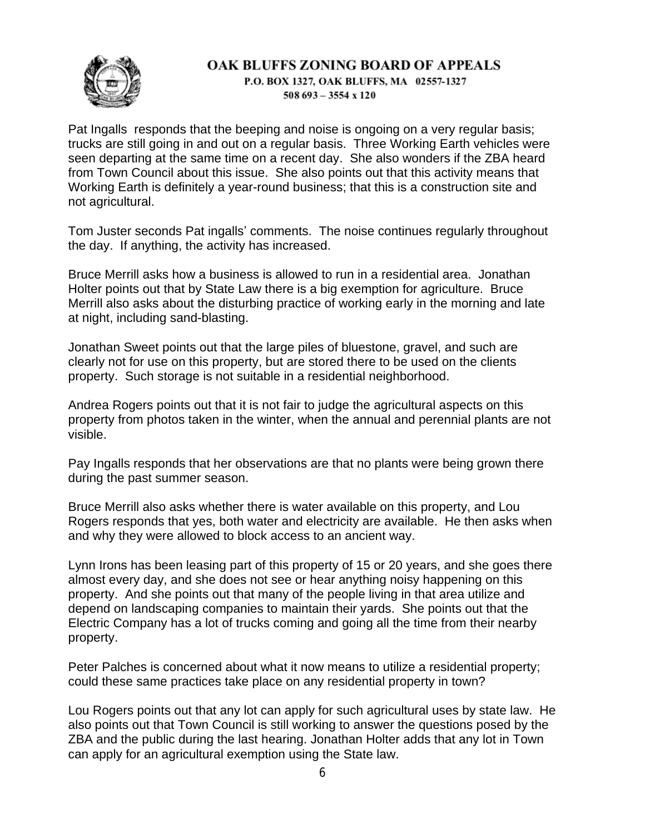P.O. BOX 1327, OAK BLUFFS, MA 02557-1327  $508693 - 3554 \times 120$ 

Pat Ingalls responds that the beeping and noise is ongoing on a very regular basis; trucks are still going in and out on a regular basis. Three Working Earth vehicles were seen departing at the same time on a recent day. She also wonders if the ZBA heard from Town Council about this issue. She also points out that this activity means that Working Earth is definitely a year-round business; that this is a construction site and not agricultural.

Tom Juster seconds Pat ingalls' comments. The noise continues regularly throughout the day. If anything, the activity has increased.

Bruce Merrill asks how a business is allowed to run in a residential area. Jonathan Holter points out that by State Law there is a big exemption for agriculture. Bruce Merrill also asks about the disturbing practice of working early in the morning and late at night, including sand-blasting.

Jonathan Sweet points out that the large piles of bluestone, gravel, and such are clearly not for use on this property, but are stored there to be used on the clients property. Such storage is not suitable in a residential neighborhood.

Andrea Rogers points out that it is not fair to judge the agricultural aspects on this property from photos taken in the winter, when the annual and perennial plants are not visible.

Pay Ingalls responds that her observations are that no plants were being grown there during the past summer season.

Bruce Merrill also asks whether there is water available on this property, and Lou Rogers responds that yes, both water and electricity are available. He then asks when and why they were allowed to block access to an ancient way.

Lynn Irons has been leasing part of this property of 15 or 20 years, and she goes there almost every day, and she does not see or hear anything noisy happening on this property. And she points out that many of the people living in that area utilize and depend on landscaping companies to maintain their yards. She points out that the Electric Company has a lot of trucks coming and going all the time from their nearby property.

Peter Palches is concerned about what it now means to utilize a residential property; could these same practices take place on any residential property in town?

Lou Rogers points out that any lot can apply for such agricultural uses by state law. He also points out that Town Council is still working to answer the questions posed by the ZBA and the public during the last hearing. Jonathan Holter adds that any lot in Town can apply for an agricultural exemption using the State law.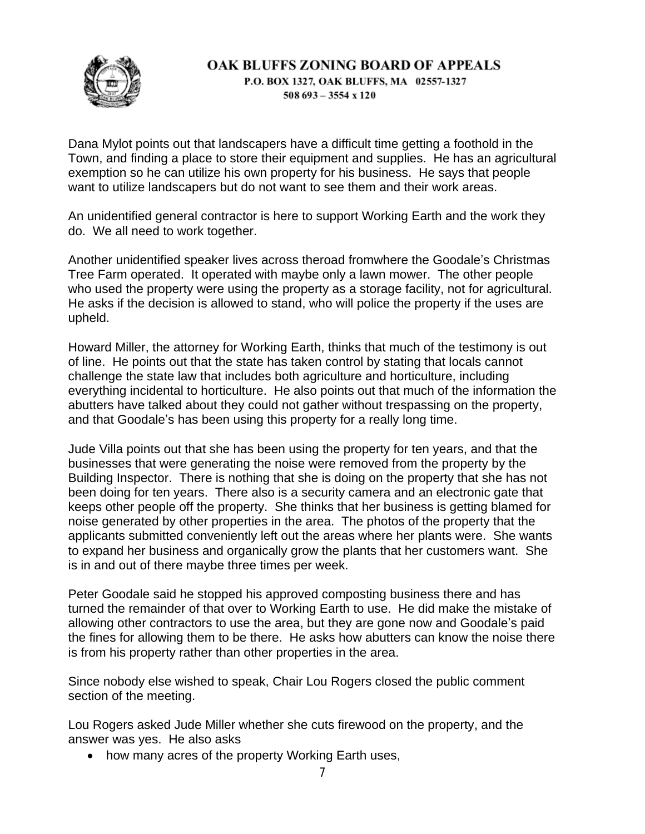

P.O. BOX 1327, OAK BLUFFS, MA 02557-1327  $508693 - 3554 \times 120$ 

Dana Mylot points out that landscapers have a difficult time getting a foothold in the Town, and finding a place to store their equipment and supplies. He has an agricultural exemption so he can utilize his own property for his business. He says that people want to utilize landscapers but do not want to see them and their work areas.

An unidentified general contractor is here to support Working Earth and the work they do. We all need to work together.

Another unidentified speaker lives across theroad fromwhere the Goodale's Christmas Tree Farm operated. It operated with maybe only a lawn mower. The other people who used the property were using the property as a storage facility, not for agricultural. He asks if the decision is allowed to stand, who will police the property if the uses are upheld.

Howard Miller, the attorney for Working Earth, thinks that much of the testimony is out of line. He points out that the state has taken control by stating that locals cannot challenge the state law that includes both agriculture and horticulture, including everything incidental to horticulture. He also points out that much of the information the abutters have talked about they could not gather without trespassing on the property, and that Goodale's has been using this property for a really long time.

Jude Villa points out that she has been using the property for ten years, and that the businesses that were generating the noise were removed from the property by the Building Inspector. There is nothing that she is doing on the property that she has not been doing for ten years. There also is a security camera and an electronic gate that keeps other people off the property. She thinks that her business is getting blamed for noise generated by other properties in the area. The photos of the property that the applicants submitted conveniently left out the areas where her plants were. She wants to expand her business and organically grow the plants that her customers want. She is in and out of there maybe three times per week.

Peter Goodale said he stopped his approved composting business there and has turned the remainder of that over to Working Earth to use. He did make the mistake of allowing other contractors to use the area, but they are gone now and Goodale's paid the fines for allowing them to be there. He asks how abutters can know the noise there is from his property rather than other properties in the area.

Since nobody else wished to speak, Chair Lou Rogers closed the public comment section of the meeting.

Lou Rogers asked Jude Miller whether she cuts firewood on the property, and the answer was yes. He also asks

• how many acres of the property Working Earth uses,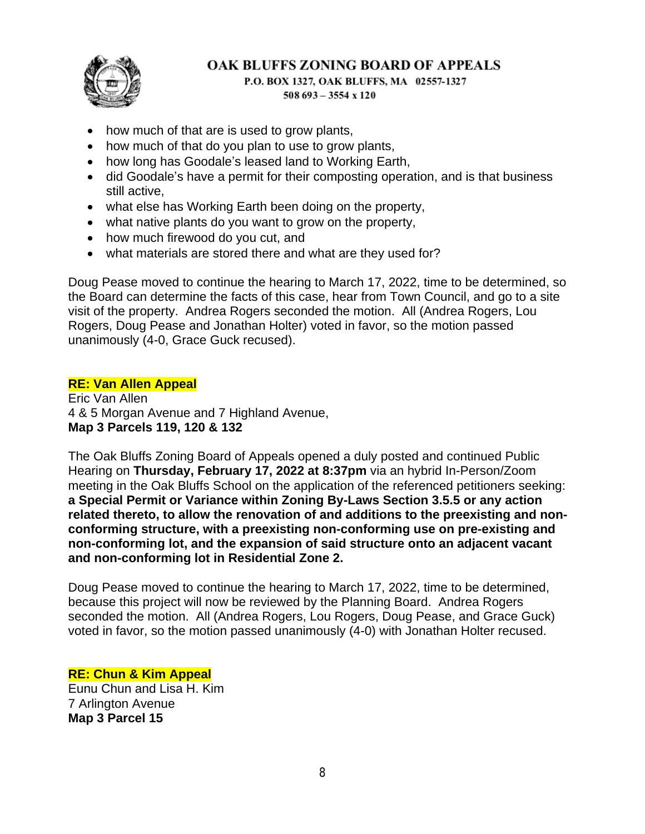

P.O. BOX 1327, OAK BLUFFS, MA 02557-1327  $508693 - 3554 \times 120$ 

- how much of that are is used to grow plants,
- how much of that do you plan to use to grow plants,
- how long has Goodale's leased land to Working Earth,
- did Goodale's have a permit for their composting operation, and is that business still active,
- what else has Working Earth been doing on the property,
- what native plants do you want to grow on the property,
- how much firewood do you cut, and
- what materials are stored there and what are they used for?

Doug Pease moved to continue the hearing to March 17, 2022, time to be determined, so the Board can determine the facts of this case, hear from Town Council, and go to a site visit of the property. Andrea Rogers seconded the motion. All (Andrea Rogers, Lou Rogers, Doug Pease and Jonathan Holter) voted in favor, so the motion passed unanimously (4-0, Grace Guck recused).

#### **RE: Van Allen Appeal**

Eric Van Allen 4 & 5 Morgan Avenue and 7 Highland Avenue, **Map 3 Parcels 119, 120 & 132**

The Oak Bluffs Zoning Board of Appeals opened a duly posted and continued Public Hearing on **Thursday, February 17, 2022 at 8:37pm** via an hybrid In-Person/Zoom meeting in the Oak Bluffs School on the application of the referenced petitioners seeking: **a Special Permit or Variance within Zoning By-Laws Section 3.5.5 or any action related thereto, to allow the renovation of and additions to the preexisting and nonconforming structure, with a preexisting non-conforming use on pre-existing and non-conforming lot, and the expansion of said structure onto an adjacent vacant and non-conforming lot in Residential Zone 2.**

Doug Pease moved to continue the hearing to March 17, 2022, time to be determined, because this project will now be reviewed by the Planning Board. Andrea Rogers seconded the motion. All (Andrea Rogers, Lou Rogers, Doug Pease, and Grace Guck) voted in favor, so the motion passed unanimously (4-0) with Jonathan Holter recused.

# **RE: Chun & Kim Appeal**

Eunu Chun and Lisa H. Kim 7 Arlington Avenue **Map 3 Parcel 15**